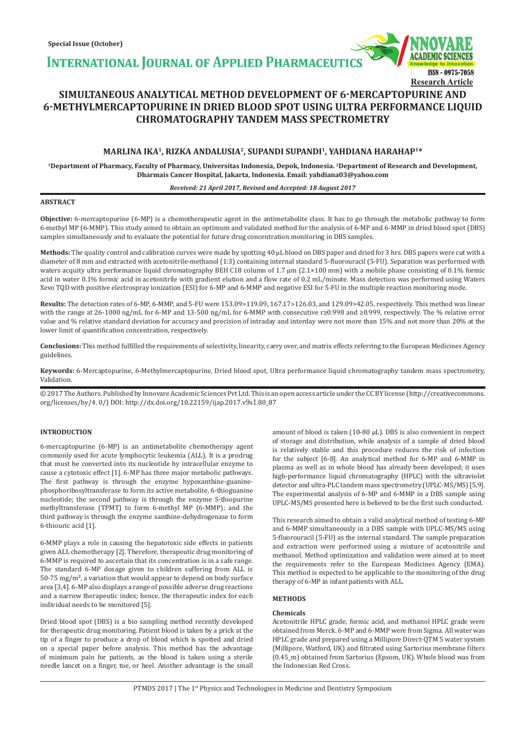**INTERNATIONAL JOURNAL OF APPLIED PHARMACEUTICS** 

# **SIMULTANEOUS ANALYTICAL METHOD DEVELOPMENT OF 6-MERCAPTOPURINE AND 6-METHYLMERCAPTOPURINE IN DRIED BLOOD SPOT USING ULTRA PERFORMANCE LIQUID CHROMATOGRAPHY TANDEM MASS SPECTROMETRY**

# **MARLINA IKA<sup>1</sup>, RIZKA ANDALUSIA2, SUPANDI SUPANDI1, YAHDIANA HARAHAP1\***

**1Department of Pharmacy, Faculty of Pharmacy, Universitas Indonesia, Depok, Indonesia. 2Department of Research and Development, Dharmais Cancer Hospital, Jakarta, Indonesia. Email: yahdiana03@yahoo.com**

## *Received: 21 April 2017, Revised and Accepted: 18 August 2017*

## **ABSTRACT**

**Objective:** 6-mercaptopurine (6-MP) is a chemotherapeutic agent in the antimetabolite class. It has to go through the metabolic pathway to form 6-methyl MP (6-MMP). This study aimed to obtain an optimum and validated method for the analysis of 6-MP and 6-MMP in dried blood spot (DBS) samples simultaneously and to evaluate the potential for future drug concentration monitoring in DBS samples.

**Methods:** The quality control and calibration curves were made by spotting 40 µL blood on DBS paper and dried for 3 hrs. DBS papers were cut with a diameter of 8 mm and extracted with acetonitrile-methanol (1:3) containing internal standard 5-fluorouracil (5-FU). Separation was performed with waters acquity ultra performance liquid chromatography BEH C18 column of 1.7 μm (2.1×100 mm) with a mobile phase consisting of 0.1% formic acid in water 0.1% formic acid in acetonitrile with gradient elution and a flow rate of 0.2 mL/minute. Mass detection was performed using Waters Xevo TQD with positive electrospray ionization (ESI) for 6-MP and 6-MMP and negative ESI for 5-FU in the multiple reaction monitoring mode.

**Results:** The detection rates of 6-MP, 6-MMP, and 5-FU were 153.09>119.09, 167.17>126.03, and 129.09>42.05, respectively. This method was linear with the range at 26-1000 ng/mL for 6-MP and 13-500 ng/mL for 6-MMP with consecutive r≥0.998 and ≥0.999, respectively. The % relative error value and % relative standard deviation for accuracy and precision of intraday and interday were not more than 15% and not more than 20% at the lower limit of quantification concentration, respectively.

**Conclusions:** This method fulfilled the requirements of selectivity, linearity, carry over, and matrix effects referring to the European Medicines Agency guidelines.

**Keywords:** 6-Mercaptopurine, 6-Methylmercaptopurine, Dried blood spot, Ultra performance liquid chromatography tandem mass spectrometry, Validation.

© 2017 The Authors. Published by Innovare Academic Sciences Pvt Ltd. This is an open access article under the CC BY license (http://creativecommons. org/licenses/by/4. 0/) DOI: http://dx.doi.org/10.22159/ijap.2017.v9s1.80\_87

## **INTRODUCTION**

6-mercaptopurine (6-MP) is an antimetabolite chemotherapy agent commonly used for acute lymphocytic leukemia (ALL). It is a prodrug that must be converted into its nucleotide by intracellular enzyme to cause a cytotoxic effect [1]. 6-MP has three major metabolic pathways. The first pathway is through the enzyme hypoxanthine-guaninephosphoribosyltransferase to form its active metabolite, 6-thioguanine nucleotide; the second pathway is through the enzyme S-thiopurine methyltransferase (TPMT) to form 6-methyl MP (6-MMP); and the third pathway is through the enzyme xanthine-dehydrogenase to form 6-thiouric acid [1].

6-MMP plays a role in causing the hepatotoxic side effects in patients given ALL chemotherapy [2]. Therefore, therapeutic drug monitoring of 6-MMP is required to ascertain that its concentration is in a safe range. The standard 6-MP dosage given to children suffering from ALL is 50‑75 mg/m**<sup>2</sup>**, a variation that would appear to depend on body surface area [3,4]. 6-MP also displays a range of possible adverse drug reactions and a narrow therapeutic index; hence, the therapeutic index for each individual needs to be monitored [5].

Dried blood spot (DBS) is a bio sampling method recently developed for therapeutic drug monitoring. Patient blood is taken by a prick at the tip of a finger to produce a drop of blood which is spotted and dried on a special paper before analysis. This method has the advantage of minimum pain for patients, as the blood is taken using a sterile needle lancet on a finger, toe, or heel. Another advantage is the small amount of blood is taken (10-80 µL). DBS is also convenient in respect of storage and distribution, while analysis of a sample of dried blood is relatively stable and this procedure reduces the risk of infection for the subject [6-8]. An analytical method for 6-MP and 6-MMP in plasma as well as in whole blood has already been developed; it uses high-performance liquid chromatography (HPLC) with the ultraviolet detector and ultra-PLC tandem mass spectrometry (UPLC-MS/MS)[5,9]. The experimental analysis of 6-MP and 6-MMP in a DBS sample using UPLC-MS/MS presented here is believed to be the first such conducted.

ISSN - 0975-7058

**Research Article**

This research aimed to obtain a valid analytical method of testing 6-MP and 6-MMP simultaneously in a DBS sample with UPLC-MS/MS using 5-fluorouracil (5-FU) as the internal standard. The sample preparation and extraction were performed using a mixture of acetonitrile and methanol. Method optimization and validation were aimed at to meet the requirements refer to the European Medicines Agency (EMA). This method is expected to be applicable to the monitoring of the drug therapy of 6-MP in infant patients with ALL.

# **METHODS**

## **Chemicals**

Acetonitrile HPLC grade, formic acid, and methanol HPLC grade were obtained from Merck. 6-MP and 6-MMP were from Sigma. All water was HPLC grade and prepared using a Millipore Direct-QTM 5 water system (Millipore, Watford, UK) and filtrated using Sartorius membrane filters (0.45\_m) obtained from Sartorius (Epsom, UK). Whole blood was from the Indonesian Red Cross.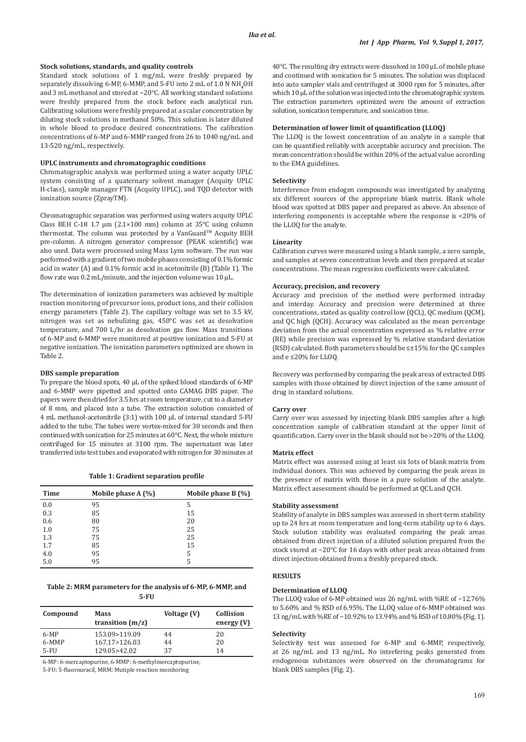## **Stock solutions, standards, and quality controls**

Standard stock solutions of 1 mg/mL were freshly prepared by separately dissolving 6-MP, 6-MMP, and 5-FU into 2 mL of 1.0 N NH, OH and 3 mL methanol and stored at −20°C. All working standard solutions were freshly prepared from the stock before each analytical run. Calibrating solutions were freshly prepared at a scalar concentration by diluting stock solutions in methanol 50%. This solution is later diluted in whole blood to produce desired concentrations. The calibration concentrations of 6-MP and 6-MMP ranged from 26 to 1040 ng/mL and 13-520 ng/mL, respectively.

## **UPLC instruments and chromatographic conditions**

Chromatographic analysis was performed using a water acquity UPLC system consisting of a quaternary solvent manager (Acquity UPLC H-class), sample manager FTN (Acquity UPLC), and TQD detector with ionization source (ZprayTM).

Chromatographic separation was performed using waters acquity UPLC Class BEH C-18 1.7  $\mu$ m (2.1×100 mm) column at 35°C using column thermostat. The column was protected by a VanGuard<sup>TM</sup> Acquity BEH pre-column. A nitrogen generator compressor (PEAK scientific) was also used. Data were processed using Mass Lynx software. The run was performed with a gradient of two mobile phases consisting of 0.1% formic acid in water (A) and 0.1% formic acid in acetonitrile (B) (Table 1). The flow rate was 0.2 mL/minute, and the injection volume was 10 µL.

The determination of ionization parameters was achieved by multiple reaction monitoring of precursor ions, product ions, and their collision energy parameters (Table 2). The capillary voltage was set to 3.5 kV, nitrogen was set as nebulizing gas, 450°C was set as desolvation temperature, and 700 L/hr as desolvation gas flow. Mass transitions of 6-MP and 6-MMP were monitored at positive ionization and 5-FU at negative ionization. The ionization parameters optimized are shown in Table 2.

## **DBS sample preparation**

To prepare the blood spots, 40 µL of the spiked blood standards of 6-MP and 6-MMP were pipetted and spotted onto CAMAG DBS paper. The papers were then dried for 3.5 hrs at room temperature, cut to a diameter of 8 mm, and placed into a tube. The extraction solution consisted of 4 mL methanol-acetonitrile (3:1) with 100 µL of internal standard 5-FU added to the tube. The tubes were vortex-mixed for 30 seconds and then continued with sonication for 25 minutes at 60°C. Next, the whole mixture centrifuged for 15 minutes at 3100 rpm. The supernatant was later transferred into test tubes and evaporated with nitrogen for 30 minutes at

**Table 1: Gradient separation profile**

| <b>Time</b> | Mobile phase $A(\%)$ | Mobile phase $B(\%)$ |
|-------------|----------------------|----------------------|
| 0.0         | 95                   | 5                    |
| 0.3         | 85                   | 15                   |
| 0.6         | 80                   | 20                   |
| 1.0         | 75                   | 25                   |
| 1.3         | 75                   | 25                   |
| 1.7         | 85                   | 15                   |
| 4.0         | 95                   | 5                    |
| 5.0         | 95                   | 5                    |

| Table 2: MRM parameters for the analysis of 6-MP, 6-MMP, and |
|--------------------------------------------------------------|
| 5-FU                                                         |

| Compound | Mass<br>transition $(m/z)$ | Voltage (V) | Collision<br>energy $(V)$ |
|----------|----------------------------|-------------|---------------------------|
| $6-MP$   | 153.09>119.09              | 44          | 20                        |
| 6-MMP    | 167.17>126.03              | 44          | 20                        |
| $5-FU$   | 129.05>42.02               | 37          | 14                        |

6-MP: 6-mercaptopurine, 6-MMP: 6-methylmercaptopurine,

5-FU: 5-fluorouracil, MRM: Mutiple reaction monitoring

40°C. The resulting dry extracts were dissolved in 100 µL of mobile phase and continued with sonication for 5 minutes. The solution was displaced into auto sampler vials and centrifuged at 3000 rpm for 5 minutes, after which 10 µL of the solution was injected into the chromatographic system. The extraction parameters optimized were the amount of extraction solution, sonication temperature, and sonication time.

#### **Determination of lower limit of quantification (LLOQ)**

The LLOQ is the lowest concentration of an analyte in a sample that can be quantified reliably with acceptable accuracy and precision. The mean concentration should be within 20% of the actual value according to the EMA guidelines.

## **Selectivity**

Interference from endogen compounds was investigated by analyzing six different sources of the appropriate blank matrix. Blank whole blood was spotted at DBS paper and prepared as above. An absence of interfering components is acceptable where the response is <20% of the LLOQ for the analyte.

#### **Linearity**

Calibration curves were measured using a blank sample, a zero sample, and samples at seven concentration levels and then prepared at scalar concentrations. The mean regression coefficients were calculated.

## **Accuracy, precision, and recovery**

Accuracy and precision of the method were performed intraday and interday. Accuracy and precision were determined at three concentrations, stated as quality control low (QCL), QC medium (QCM), and QC high (QCH). Accuracy was calculated as the mean percentage deviation from the actual concentration expressed as % relative error (RE) while precision was expressed by % relative standard deviation (RSD) calculated. Both parameters should be ≤±15% for the QC samples and e ≤20% for LLOQ.

Recovery was performed by comparing the peak areas of extracted DBS samples with those obtained by direct injection of the same amount of drug in standard solutions.

#### **Carry over**

Carry over was assessed by injecting blank DBS samples after a high concentration sample of calibration standard at the upper limit of quantification. Carry over in the blank should not be >20% of the LLOQ.

## **Matrix effect**

Matrix effect was assessed using at least six lots of blank matrix from individual donors. This was achieved by comparing the peak areas in the presence of matrix with those in a pure solution of the analyte. Matrix effect assessment should be performed at QCL and QCH.

## **Stability assessment**

Stability of analyte in DBS samples was assessed in short-term stability up to 24 hrs at room temperature and long-term stability up to 6 days. Stock solution stability was evaluated comparing the peak areas obtained from direct injection of a diluted solution prepared from the stock stored at −20°C for 16 days with other peak areas obtained from direct injection obtained from a freshly prepared stock.

## **RESULTS**

#### **Determination of LLOQ**

The LLOQ value of 6-MP obtained was 26 ng/mL with %RE of −12.76% to 5.60% and % RSD of 6.95%. The LLOQ value of 6-MMP obtained was 13 ng/mL with %RE of −10.92% to 13.94% and % RSD of 10.80% (Fig. 1).

## **Selectivity**

Selectivity test was assessed for 6-MP and 6-MMP, respectively, at 26 ng/mL and 13 ng/mL. No interfering peaks generated from endogenous substances were observed on the chromatograms for blank DBS samples (Fig. 2).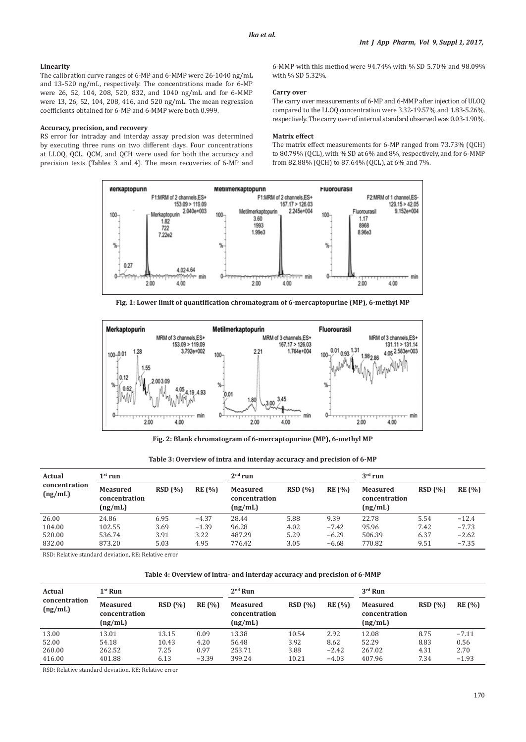# **Linearity**

The calibration curve ranges of 6-MP and 6-MMP were 26-1040 ng/mL and 13-520 ng/mL, respectively. The concentrations made for 6-MP were 26, 52, 104, 208, 520, 832, and 1040 ng/mL and for 6-MMP were 13, 26, 52, 104, 208, 416, and 520 ng/mL. The mean regression coefficients obtained for 6-MP and 6-MMP were both 0.999.

## **Accuracy, precision, and recovery**

RS error for intraday and interday assay precision was determined by executing three runs on two different days. Four concentrations at LLOQ, QCL, QCM, and QCH were used for both the accuracy and precision tests (Tables 3 and 4). The mean recoveries of 6-MP and 6-MMP with this method were 94.74% with % SD 5.70% and 98.09% with % SD 5.32%.

## **Carry over**

The carry over measurements of 6-MP and 6-MMP after injection of ULOQ compared to the LLOQ concentration were 3.32-19.57% and 1.83-5.26%, respectively. The carry over of internal standard observed was 0.03-1.90%.

## **Matrix effect**

The matrix effect measurements for 6-MP ranged from 73.73% (QCH) to 80.79% (QCL), with % SD at 6% and 8%, respectively, and for 6-MMP from 82.88% (QCH) to 87.64% (QCL), at 6% and 7%.







**Fig. 2: Blank chromatogram of 6-mercaptopurine (MP), 6-methyl MP**

| Actual<br>concentration<br>(ng/mL) | $1st$ run                            |              |                 | $2nd$ run                                   |              |                    | $3rd$ run                                   |              |                    |
|------------------------------------|--------------------------------------|--------------|-----------------|---------------------------------------------|--------------|--------------------|---------------------------------------------|--------------|--------------------|
|                                    | Measured<br>concentration<br>(ng/mL) | RSD(%)       | RE(%)           | <b>Measured</b><br>concentration<br>(ng/mL) | RSD(%)       | RE(%)              | <b>Measured</b><br>concentration<br>(ng/mL) | RSD(%)       | RE(9)              |
| 26.00                              | 24.86                                | 6.95         | $-4.37$         | 28.44                                       | 5.88         | 9.39               | 22.78                                       | 5.54         | $-12.4$            |
| 104.00<br>520.00                   | 102.55<br>536.74                     | 3.69<br>3.91 | $-1.39$<br>3.22 | 96.28<br>487.29                             | 4.02<br>5.29 | $-7.42$<br>$-6.29$ | 95.96<br>506.39                             | 7.42<br>6.37 | $-7.73$<br>$-2.62$ |
|                                    |                                      |              |                 |                                             |              |                    |                                             |              |                    |

832.00 873.20 5.03 4.95 776.42 3.05 −6.68 770.82 9.51 −7.35

**Table 3: Overview of intra and interday accuracy and precision of 6‑MP**

RSD: Relative standard deviation, RE: Relative error

# **Table 4: Overview of intra‑ and interday accuracy and precision of 6‑MMP**

| <b>Actual</b><br>concentration<br>(ng/mL) | $1st$ Run                                   |        |         | $2nd$ Run                            |        |         | $3rd$ Run                                   |        |         |
|-------------------------------------------|---------------------------------------------|--------|---------|--------------------------------------|--------|---------|---------------------------------------------|--------|---------|
|                                           | <b>Measured</b><br>concentration<br>(ng/mL) | RSD(%) | RE(%)   | Measured<br>concentration<br>(ng/mL) | RSD(%) | RE(%)   | <b>Measured</b><br>concentration<br>(ng/mL) | RSD(%) | RE(%)   |
| 13.00                                     | 13.01                                       | 13.15  | 0.09    | 13.38                                | 10.54  | 2.92    | 12.08                                       | 8.75   | $-7.11$ |
| 52.00                                     | 54.18                                       | 10.43  | 4.20    | 56.48                                | 3.92   | 8.62    | 52.29                                       | 8.83   | 0.56    |
| 260.00                                    | 262.52                                      | 7.25   | 0.97    | 253.71                               | 3.88   | $-2.42$ | 267.02                                      | 4.31   | 2.70    |
| 416.00                                    | 401.88                                      | 6.13   | $-3.39$ | 399.24                               | 10.21  | $-4.03$ | 407.96                                      | 7.34   | $-1.93$ |

RSD: Relative standard deviation, RE: Relative error

**RSD (%) RE (%)**